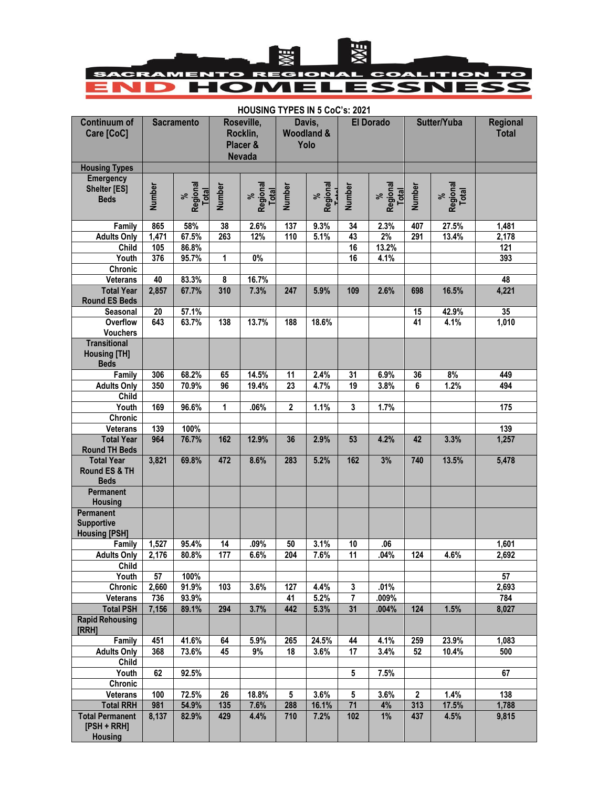

## **HOUSING TYPES IN 5 CoC's: 2021**

| <b>Continuum of</b><br>Care [CoC]                         | <b>Sacramento</b> |                        | Roseville,<br>Rocklin,<br>Placer &<br><b>Nevada</b> |                        | Davis,<br><b>Woodland &amp;</b><br>Yolo |                        | <b>El Dorado</b> |                        | Sutter/Yuba             |                        | <b>Regional</b><br><b>Total</b> |
|-----------------------------------------------------------|-------------------|------------------------|-----------------------------------------------------|------------------------|-----------------------------------------|------------------------|------------------|------------------------|-------------------------|------------------------|---------------------------------|
| <b>Housing Types</b>                                      |                   |                        |                                                     |                        |                                         |                        |                  |                        |                         |                        |                                 |
| <b>Emergency</b><br><b>Shelter [ES]</b><br><b>Beds</b>    | Number            | %<br>Regional<br>Total | <b>Number</b>                                       | %<br>Regional<br>Total | Number                                  | %<br>Regional<br>————— | <b>Number</b>    | %<br>Regional<br>Total | <b>Number</b>           | %<br>Regional<br>Total |                                 |
| Family                                                    | 865               | 58%                    | 38                                                  | 2.6%                   | 137                                     | 9.3%                   | 34               | 2.3%                   | 407                     | 27.5%                  | 1,481                           |
| <b>Adults Only</b>                                        | 1,471             | 67.5%                  | 263                                                 | 12%                    | 110                                     | 5.1%                   | 43               | 2%                     | 291                     | 13.4%                  | 2,178                           |
| Child<br>Youth                                            | 105<br>376        | 86.8%                  |                                                     | $0\%$                  |                                         |                        | 16<br>16         | 13.2%                  |                         |                        | 121                             |
| Chronic                                                   |                   | 95.7%                  | 1                                                   |                        |                                         |                        |                  | 4.1%                   |                         |                        | 393                             |
| <b>Veterans</b>                                           | 40                | 83.3%                  | 8                                                   | 16.7%                  |                                         |                        |                  |                        |                         |                        | 48                              |
| <b>Total Year</b><br><b>Round ES Beds</b>                 | 2,857             | 67.7%                  | 310                                                 | 7.3%                   | 247                                     | 5.9%                   | 109              | 2.6%                   | 698                     | 16.5%                  | 4,221                           |
| Seasonal                                                  | 20                | 57.1%                  |                                                     |                        |                                         |                        |                  |                        | 15                      | 42.9%                  | 35                              |
| Overflow<br><b>Vouchers</b>                               | 643               | 63.7%                  | 138                                                 | 13.7%                  | 188                                     | 18.6%                  |                  |                        | 41                      | 4.1%                   | 1,010                           |
| <b>Transitional</b><br><b>Housing [TH]</b><br><b>Beds</b> |                   |                        |                                                     |                        |                                         |                        |                  |                        |                         |                        |                                 |
| Family                                                    | 306               | 68.2%                  | 65                                                  | 14.5%                  | 11                                      | 2.4%                   | 31               | 6.9%                   | 36                      | 8%                     | 449                             |
| <b>Adults Only</b>                                        | 350               | 70.9%                  | 96                                                  | 19.4%                  | 23                                      | 4.7%                   | 19               | 3.8%                   | 6                       | 1.2%                   | 494                             |
| Child                                                     |                   |                        |                                                     |                        |                                         |                        |                  |                        |                         |                        |                                 |
| Youth                                                     | 169               | 96.6%                  | 1                                                   | .06%                   | $\mathbf{2}$                            | 1.1%                   | 3                | 1.7%                   |                         |                        | 175                             |
| Chronic                                                   | 139               | 100%                   |                                                     |                        |                                         |                        |                  |                        |                         |                        | 139                             |
| <b>Veterans</b><br><b>Total Year</b>                      | 964               | 76.7%                  | 162                                                 | 12.9%                  | 36                                      | 2.9%                   | 53               | 4.2%                   | 42                      | 3.3%                   | 1,257                           |
| <b>Round TH Beds</b>                                      |                   |                        |                                                     |                        |                                         |                        |                  |                        |                         |                        |                                 |
| <b>Total Year</b><br>Round ES & TH<br><b>Beds</b>         | 3,821             | 69.8%                  | 472                                                 | 8.6%                   | 283                                     | 5.2%                   | 162              | 3%                     | 740                     | 13.5%                  | 5,478                           |
| Permanent<br><b>Housing</b>                               |                   |                        |                                                     |                        |                                         |                        |                  |                        |                         |                        |                                 |
| Permanent<br><b>Supportive</b><br><b>Housing [PSH]</b>    |                   |                        |                                                     |                        |                                         |                        |                  |                        |                         |                        |                                 |
| Family                                                    | 1,527             | 95.4%                  | 14                                                  | .09%                   | 50                                      | 3.1%                   | 10               | .06                    |                         |                        | 1,601                           |
| <b>Adults Only</b><br><b>Child</b>                        | 2,176             | 80.8%                  | 177                                                 | 6.6%                   | 204                                     | 7.6%                   | $\overline{11}$  | .04%                   | 124                     | 4.6%                   | 2,692                           |
| Youth                                                     | 57                | 100%                   |                                                     |                        |                                         |                        |                  |                        |                         |                        | 57                              |
| Chronic                                                   | 2,660             | 91.9%                  | 103                                                 | 3.6%                   | 127                                     | 4.4%                   | 3                | .01%                   |                         |                        | 2,693                           |
| <b>Veterans</b>                                           | 736               | 93.9%                  |                                                     |                        | 41                                      | 5.2%                   | $\overline{7}$   | .009%                  |                         |                        | 784                             |
| <b>Total PSH</b><br><b>Rapid Rehousing</b><br>[RRH]       | 7,156             | 89.1%                  | 294                                                 | 3.7%                   | 442                                     | 5.3%                   | 31               | .004%                  | 124                     | 1.5%                   | 8,027                           |
| Family                                                    | 451               | 41.6%                  | 64                                                  | 5.9%                   | 265                                     | 24.5%                  | 44               | 4.1%                   | 259                     | 23.9%                  | 1.083                           |
| <b>Adults Only</b>                                        | 368               | 73.6%                  | 45                                                  | 9%                     | 18                                      | 3.6%                   | 17               | 3.4%                   | 52                      | 10.4%                  | 500                             |
| Child                                                     |                   |                        |                                                     |                        |                                         |                        |                  |                        |                         |                        |                                 |
| Youth                                                     | 62                | 92.5%                  |                                                     |                        |                                         |                        | 5                | 7.5%                   |                         |                        | 67                              |
| Chronic                                                   |                   |                        |                                                     |                        |                                         |                        |                  |                        |                         |                        |                                 |
| <b>Veterans</b><br><b>Total RRH</b>                       | 100<br>981        | 72.5%<br>54.9%         | 26<br>135                                           | 18.8%<br>7.6%          | 5<br>288                                | 3.6%<br>16.1%          | 5<br>71          | 3.6%<br>4%             | $\boldsymbol{2}$<br>313 | 1.4%<br>17.5%          | 138<br>1,788                    |
| <b>Total Permanent</b><br>$[PSH + RRH]$<br><b>Housing</b> | 8,137             | 82.9%                  | 429                                                 | 4.4%                   | 710                                     | 7.2%                   | 102              | 1%                     | 437                     | 4.5%                   | 9,815                           |